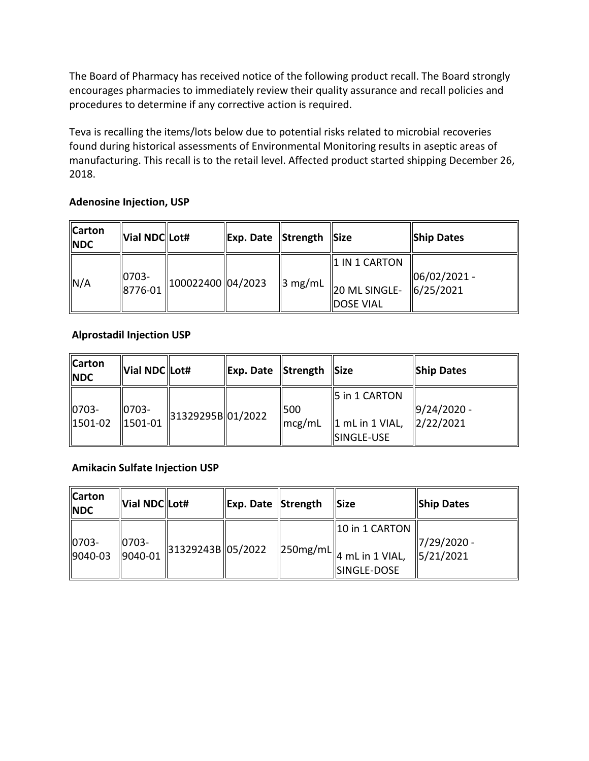The Board of Pharmacy has received notice of the following product recall. The Board strongly encourages pharmacies to immediately review their quality assurance and recall policies and procedures to determine if any corrective action is required.

 Teva is recalling the items/lots below due to potential risks related to microbial recoveries found during historical assessments of Environmental Monitoring results in aseptic areas of manufacturing. This recall is to the retail level. Affected product started shipping December 26, 2018.

#### **Adenosine Injection, USP**

| <b>Carton</b><br><b>NDC</b> | Vial NDC Lot#        |                    | Exp. Date Strength |                     | $\vert$ Size                                                   | <b>Ship Dates</b>          |
|-----------------------------|----------------------|--------------------|--------------------|---------------------|----------------------------------------------------------------|----------------------------|
| N/A                         | $ 0703 -$<br>8776-01 | 100022400  04/2023 |                    | $\parallel$ 3 mg/mL | $\parallel$ 1 IN 1 CARTON<br>20 ML SINGLE-<br><b>DOSE VIAL</b> | 06/02/2021 -<br> 6/25/2021 |

#### **Alprostadil Injection USP**

| $\vert$ 5 in 1 CARTON<br>$9/24/2020 -$<br>10703-<br>$ 0703 -$<br>1500<br>31329295B 01/2022<br>$\frac{2}{2222021}$<br>1501-02<br>$\ $ 1501-01<br>  1 mL in 1 VIAL,<br>$\sqrt{mcg/mL}$<br>SINGLE-USE | <b>Carton</b><br><b>NDC</b> | Vial NDC Lot# | Exp. Date Strength | $\parallel$ Size | Ship Dates |
|----------------------------------------------------------------------------------------------------------------------------------------------------------------------------------------------------|-----------------------------|---------------|--------------------|------------------|------------|
|                                                                                                                                                                                                    |                             |               |                    |                  |            |

#### **Amikacin Sulfate Injection USP**

| <b>Carton</b><br><b>NDC</b> | Vial NDC Lot#        |                                           | Exp. Date Strength | <b>Size</b>                                                                       | Ship Dates                            |
|-----------------------------|----------------------|-------------------------------------------|--------------------|-----------------------------------------------------------------------------------|---------------------------------------|
| 0703-<br>9040-03            | $ 0703 -$<br>9040-01 | $\parallel$ 31329243B $\parallel$ 05/2022 |                    | 10 in 1 CARTON<br>$\parallel$ 250mg/mL $\parallel$ 4 mL in 1 VIAL,<br>SINGLE-DOSE | 7/29/2020 -<br>$\frac{1}{5}$ /21/2021 |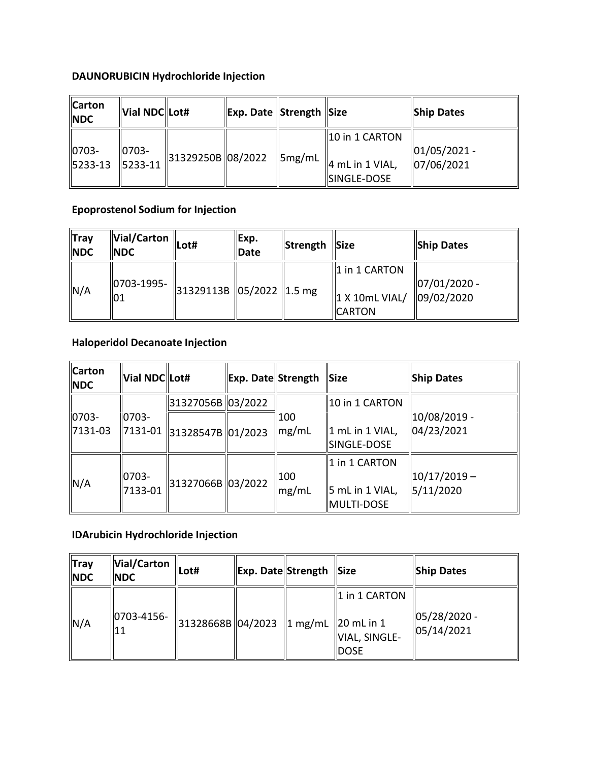# **DAUNORUBICIN Hydrochloride Injection**

| 10 in 1 CARTON                                                                                                                  | <b>Ship Dates</b> |  | Exp. Date SStrength Size | Vial NDC Lot# | <b>Carton</b><br><b>NDC</b> |
|---------------------------------------------------------------------------------------------------------------------------------|-------------------|--|--------------------------|---------------|-----------------------------|
| 31329250B  08/2022<br>$\parallel$ 5mg/mL<br>$\parallel$ 4 mL in 1 VIAL,<br>5233-13<br>$ 5233-11 $<br> 07/06/2021<br>SINGLE-DOSE | $ 01/05/2021 -$   |  |                          | $10703 -$     | 0703-                       |

### **Epoprostenol Sodium for Injection**

| <b>Tray</b><br><b>NDC</b> | Vial/Carton<br><b>NDC</b> | Lot#                                                         | Exp.<br>Date | Strength Size |                                                                           | <b>Ship Dates</b>                         |
|---------------------------|---------------------------|--------------------------------------------------------------|--------------|---------------|---------------------------------------------------------------------------|-------------------------------------------|
| N/A                       | 0703-1995-<br>101         | $\parallel$ 31329113B $\parallel$ 05/2022 $\parallel$ 1.5 mg |              |               | $\parallel$ 1 in 1 CARTON<br>$\parallel$ 1 X 10mL VIAL/<br><b>ICARTON</b> | $ 07/01/2020 -$<br>$\frac{109}{02}$ /2020 |

### **Haloperidol Decanoate Injection**

| $\mathbf{u}$                | 01                   | אייו כיבון בכסכן בטבע וכובל כביכן        |                    |                          | $\parallel$ 1 X 10mL VIAL/<br><b>CARTON</b>            | 09/02/2020                  |
|-----------------------------|----------------------|------------------------------------------|--------------------|--------------------------|--------------------------------------------------------|-----------------------------|
|                             |                      | <b>Haloperidol Decanoate Injection</b>   |                    |                          |                                                        |                             |
| <b>Carton</b><br><b>NDC</b> | Vial NDC Lot#        |                                          | Exp. Date Strength |                          | Size                                                   | <b>Ship Dates</b>           |
|                             |                      | 31327056B 03/2022                        |                    |                          | 10 in 1 CARTON                                         |                             |
| $ 0703 -$<br>7131-03        | $\parallel$ 0703-    | $\ $ 7131-01 $\ $ 31328547B $\ $ 01/2023 |                    | 100<br>$\parallel$ mg/mL | 1 mL in 1 VIAL,<br>SINGLE-DOSE                         | 10/08/2019 -<br>04/23/2021  |
| N/A                         | $ 0703 -$<br>7133-01 | 31327066B 03/2022                        |                    | $\vert$ 100<br>mg/mL     | 1 in 1 CARTON<br>$\vert$ 5 mL in 1 VIAL,<br>MULTI-DOSE | $10/17/2019 -$<br>5/11/2020 |

### **IDArubicin Hydrochloride Injection**

| $\ $ Tray<br><b>NDC</b> | Vial/Carton<br><b>NDC</b> | Lot#              | Exp. Date Strength Size |                                                                                            | Ship Dates                        |
|-------------------------|---------------------------|-------------------|-------------------------|--------------------------------------------------------------------------------------------|-----------------------------------|
| N/A                     | 0703-4156-<br>'11         | 31328668B 04/2023 |                         | 1 in 1 CARTON<br>$\ 1 \text{ mg/mL} \  20 \text{ mL in 1}$<br>VIAL, SINGLE-<br><b>DOSE</b> | $ 05/28/2020 -$<br>$\ 05/14/2021$ |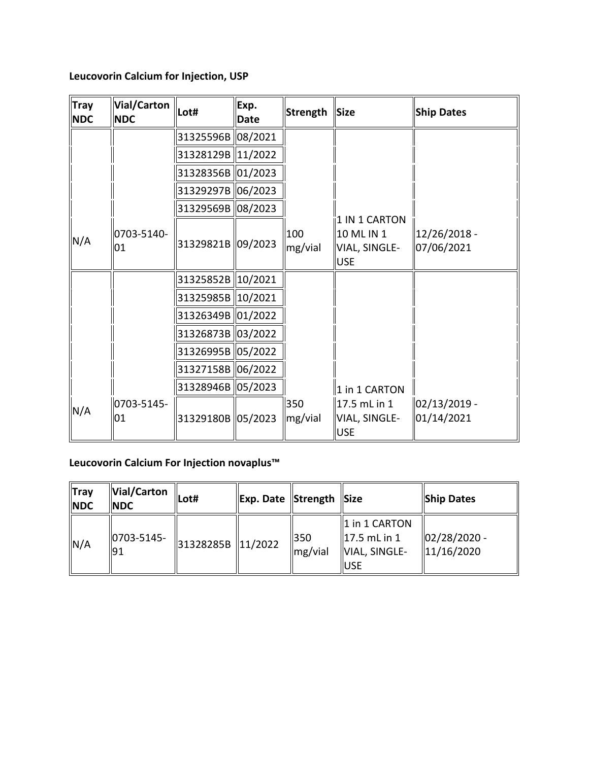**Leucovorin Calcium for Injection, USP** 

| <b>Tray</b><br><b>NDC</b> | Vial/Carton<br><b>NDC</b> | Lot#              | Exp.<br><b>Date</b> | Strength                   | <b>Size</b>                                                | <b>Ship Dates</b>          |
|---------------------------|---------------------------|-------------------|---------------------|----------------------------|------------------------------------------------------------|----------------------------|
|                           |                           | 31325596B 08/2021 |                     |                            |                                                            |                            |
|                           |                           | 31328129B 11/2022 |                     |                            |                                                            |                            |
|                           |                           | 31328356B 01/2023 |                     |                            |                                                            |                            |
|                           |                           | 31329297B 06/2023 |                     |                            |                                                            |                            |
|                           |                           | 31329569B 08/2023 |                     |                            |                                                            |                            |
| N/A                       | 0703-5140-<br>01          | 31329821B 09/2023 |                     | 100<br>mg/vial             | 1 IN 1 CARTON<br>10 ML IN 1<br>VIAL, SINGLE-<br><b>USE</b> | 12/26/2018 -<br>07/06/2021 |
|                           |                           | 31325852B 10/2021 |                     |                            |                                                            |                            |
|                           |                           | 31325985B 10/2021 |                     |                            |                                                            |                            |
|                           |                           | 31326349B 01/2022 |                     |                            |                                                            |                            |
|                           |                           | 31326873B 03/2022 |                     |                            |                                                            |                            |
|                           |                           | 31326995B 05/2022 |                     |                            |                                                            |                            |
|                           |                           | 31327158B 06/2022 |                     |                            |                                                            |                            |
|                           |                           | 31328946B 05/2023 |                     |                            | 1 in 1 CARTON                                              |                            |
| N/A                       | 0703-5145-<br>01          | 31329180B 05/2023 |                     | 350<br>$\parallel$ mg/vial | 17.5 mL in 1<br>VIAL, SINGLE-<br><b>USE</b>                | 02/13/2019 -<br>01/14/2021 |

# **Leucovorin Calcium For Injection novaplus™**

| <b>Tray</b><br><b>NDC</b> | Vial/Carton<br><b>NDC</b> | lLot#             | Exp. Date Strength Size |                |                                                                                | <b>Ship Dates</b>          |
|---------------------------|---------------------------|-------------------|-------------------------|----------------|--------------------------------------------------------------------------------|----------------------------|
| N/A                       | 0703-5145-<br>91          | 31328285B 11/2022 |                         | 350<br>mg/vial | $\ 1\ $ in 1 CARTON<br>$\parallel$ 17.5 mL in 1<br>VIAL, SINGLE-<br><b>USE</b> | 02/28/2020 -<br>11/16/2020 |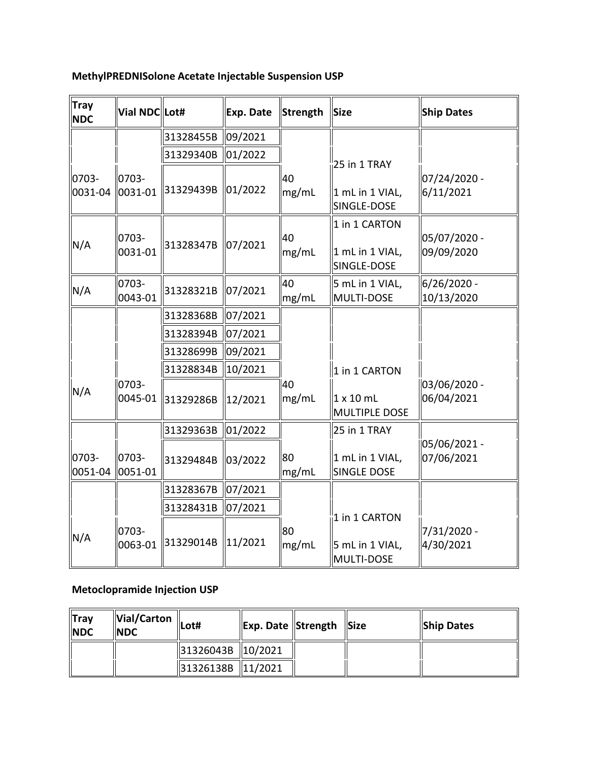| <b>Tray</b><br><b>NDC</b> | Vial NDC Lot#                       |           | Exp. Date          |    | Strength | <b>Size</b> |                                                 | <b>Ship Dates</b>          |
|---------------------------|-------------------------------------|-----------|--------------------|----|----------|-------------|-------------------------------------------------|----------------------------|
|                           |                                     | 31328455B | 09/2021            |    |          |             |                                                 |                            |
|                           |                                     | 31329340B | 01/2022            |    |          |             | $25$ in 1 TRAY                                  |                            |
| 0703-<br>0031-04          | 0703-<br>$ 0031 - 01$               | 31329439B | 01/2022            | 40 | mg/mL    |             | 1 mL in 1 VIAL,<br>SINGLE-DOSE                  | 07/24/2020 -<br>6/11/2021  |
| N/A                       | 0703-<br>0031-01                    | 31328347B | 07/2021            | 40 | mg/mL    |             | 1 in 1 CARTON<br>1 mL in 1 VIAL,<br>SINGLE-DOSE | 05/07/2020 -<br>09/09/2020 |
| N/A                       | 0703-<br>0043-01                    | 31328321B | 07/2021            | 40 | mg/mL    |             | 5 mL in 1 VIAL,<br>MULTI-DOSE                   | 6/26/2020 -<br>10/13/2020  |
|                           |                                     | 31328368B | 07/2021            |    |          |             |                                                 |                            |
|                           |                                     | 31328394B | 07/2021            |    |          |             |                                                 |                            |
|                           |                                     | 31328699B | 09/2021            |    |          |             |                                                 |                            |
|                           |                                     | 31328834B | 10/2021            |    |          |             | 1 in 1 CARTON                                   |                            |
| N/A                       | 0703-<br>0045-01                    | 31329286B | 12/2021            | 40 | mg/mL    |             | $1 \times 10$ mL<br><b>MULTIPLE DOSE</b>        | 03/06/2020 -<br>06/04/2021 |
|                           |                                     | 31329363B | 01/2022            |    |          |             | 25 in 1 TRAY                                    |                            |
| 0703-<br>0051-04          | 10703-<br>$\ 0051 - 01$             | 31329484B | 03/2022            | 80 | mg/mL    |             | 1 mL in 1 VIAL,<br><b>SINGLE DOSE</b>           | 05/06/2021 -<br>07/06/2021 |
|                           |                                     | 31328367B | 07/2021            |    |          |             |                                                 |                            |
|                           |                                     | 31328431B | 07/2021            |    |          |             |                                                 |                            |
| N/A                       | 0703-<br>0063-01                    | 31329014B | 11/2021            | 80 | mg/mL    |             | 1 in 1 CARTON<br>5 mL in 1 VIAL,<br>MULTI-DOSE  | 7/31/2020 -<br>4/30/2021   |
|                           | <b>Metoclopramide Injection USP</b> |           |                    |    |          |             |                                                 |                            |
| <b>Tray</b><br><b>NDC</b> | <b>Vial/Carton</b><br><b>NDC</b>    | Lot#      | Exp. Date Strength |    |          |             | <b>Size</b>                                     | <b>Ship Dates</b>          |
|                           |                                     | 31326043B | 10/2021            |    |          |             |                                                 |                            |
|                           |                                     | 31326138B | 11/2021            |    |          |             |                                                 |                            |

# **MethylPREDNISolone Acetate Injectable Suspension USP**

# **Metoclopramide Injection USP**

| $\ $ Tray<br><b>INDC</b> | Vial/Carton<br><b>INDC</b> | Lot#                | <b>Exp. Date Strength Size</b> |  | <b>Ship Dates</b> |
|--------------------------|----------------------------|---------------------|--------------------------------|--|-------------------|
|                          |                            | 31326043B   10/2021 |                                |  |                   |
|                          |                            | 31326138B   11/2021 |                                |  |                   |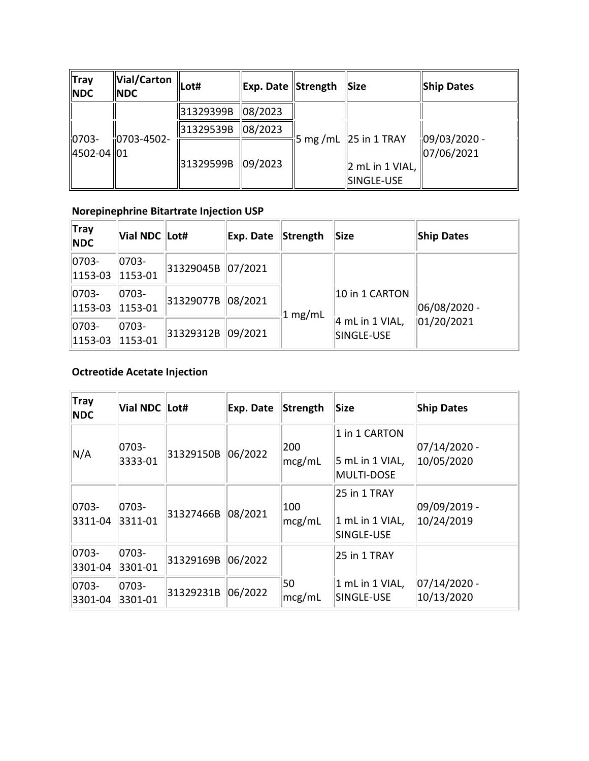| Tray<br><b>NDC</b>          | Vial/Carton<br><b>NDC</b> | Lot#      | Exp. Date SStrength |                                                   | <b>Size</b>                           | <b>Ship Dates</b> |
|-----------------------------|---------------------------|-----------|---------------------|---------------------------------------------------|---------------------------------------|-------------------|
|                             |                           | 31329399B | 08/2023             |                                                   |                                       |                   |
| $ 0703 -$<br>  4502-04   01 | $\frac{1}{10}$ 0703-4502- | 31329539B | 08/2023             | $\frac{1}{2}$ 5 mg /mL $\frac{1}{12}$ 5 in 1 TRAY |                                       | $109/03/2020 -$   |
|                             |                           | 31329599B | 09/2023             |                                                   | $\vert$ 2 mL in 1 VIAL,<br>SINGLE-USE | 07/06/2021        |

### **Norepinephrine Bitartrate Injection USP**

| Tray<br><b>NDC</b>      | Vial NDC Lot#        |           | Exp. Date | Strength | Size                                            | <b>Ship Dates</b>           |
|-------------------------|----------------------|-----------|-----------|----------|-------------------------------------------------|-----------------------------|
| $ 0703 -$<br>$ 1153-03$ | 0703-<br>1153-01     | 31329045B | 07/2021   |          |                                                 |                             |
| $ 0703 -$<br>$ 1153-03$ | $ 0703 -$<br>1153-01 | 31329077B | 08/2021   | 1 mg/mL  | 10 in 1 CARTON<br>4 mL in 1 VIAL,<br>SINGLE-USE | 06/08/2020 -<br> 01/20/2021 |
| $ 0703 -$<br>$ 1153-03$ | 0703-<br>1153-01     | 31329312B | 09/2021   |          |                                                 |                             |

### **Octreotide Acetate Injection**

| <b>Tray</b><br><b>NDC</b> | Vial NDC Lot#    |           | Exp. Date | Strength      | <b>Size</b>                                           | <b>Ship Dates</b>          |
|---------------------------|------------------|-----------|-----------|---------------|-------------------------------------------------------|----------------------------|
| N/A                       | 0703-<br>3333-01 | 31329150B | 06/2022   | 200<br>mcg/mL | 1 in 1 CARTON<br>5 mL in 1 VIAL,<br><b>MULTI-DOSE</b> | 07/14/2020 -<br>10/05/2020 |
| 0703-<br>3311-04          | 0703-<br>3311-01 | 31327466B | 08/2021   | 100<br>mcg/mL | 25 in 1 TRAY<br>1 mL in 1 VIAL,<br>SINGLE-USE         | 09/09/2019 -<br>10/24/2019 |
| 0703-<br>3301-04          | 0703-<br>3301-01 | 31329169B | 06/2022   |               | 25 in 1 TRAY                                          |                            |
| 0703-<br>3301-04          | 0703-<br>3301-01 | 31329231B | 06/2022   | 50<br>mcg/mL  | 1 mL in 1 VIAL,<br>SINGLE-USE                         | 07/14/2020 -<br>10/13/2020 |